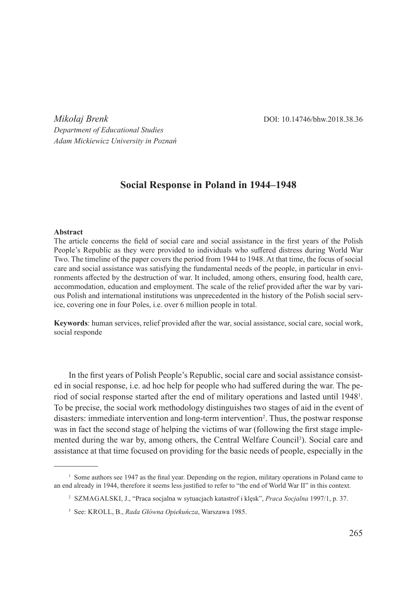*Mikołaj Brenk* **DOI:** 10.14746/bhw.2018.38.36 *Department of Educational Studies Adam Mickiewicz University in Poznań*

# **Social Response in Poland in 1944–1948**

#### **Abstract**

The article concerns the field of social care and social assistance in the first years of the Polish People's Republic as they were provided to individuals who suffered distress during World War Two. The timeline of the paper covers the period from 1944 to 1948. At that time, the focus of social care and social assistance was satisfying the fundamental needs of the people, in particular in environments affected by the destruction of war. It included, among others, ensuring food, health care, accommodation, education and employment. The scale of the relief provided after the war by various Polish and international institutions was unprecedented in the history of the Polish social service, covering one in four Poles, i.e. over 6 million people in total.

**Keywords**: human services, relief provided after the war, social assistance, social care, social work, social responde

In the first years of Polish People's Republic, social care and social assistance consisted in social response, i.e. ad hoc help for people who had suffered during the war. The period of social response started after the end of military operations and lasted until 1948<sup>1</sup>. To be precise, the social work methodology distinguishes two stages of aid in the event of disasters: immediate intervention and long-term intervention<sup>2</sup>. Thus, the postwar response was in fact the second stage of helping the victims of war (following the first stage implemented during the war by, among others, the Central Welfare Council<sup>3</sup>). Social care and assistance at that time focused on providing for the basic needs of people, especially in the

<sup>&</sup>lt;sup>1</sup> Some authors see 1947 as the final year. Depending on the region, military operations in Poland came to an end already in 1944, therefore it seems less justified to refer to "the end of World War II" in this context.

<sup>2</sup> Szmagalski, J., "Praca socjalna w sytuacjach katastrof i klęsk", *Praca Socjalna* 1997/1, p. 37.

<sup>3</sup> See: Kroll, B., *Rada Główna Opiekuńcza*, Warszawa 1985.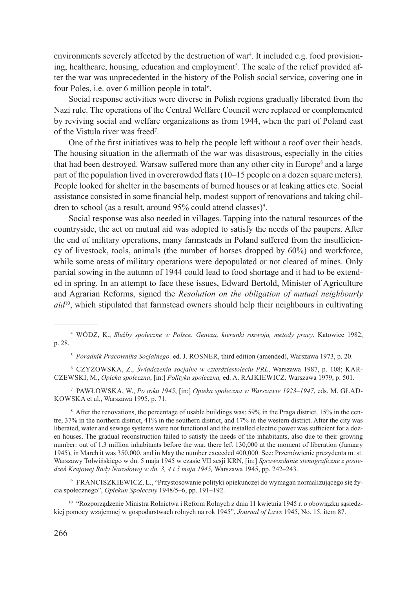environments severely affected by the destruction of war<sup>4</sup>. It included e.g. food provisioning, healthcare, housing, education and employment<sup>5</sup>. The scale of the relief provided after the war was unprecedented in the history of the Polish social service, covering one in four Poles, i.e. over 6 million people in total<sup>6</sup>.

Social response activities were diverse in Polish regions gradually liberated from the Nazi rule. The operations of the Central Welfare Council were replaced or complemented by reviving social and welfare organizations as from 1944, when the part of Poland east of the Vistula river was freed<sup>7</sup>.

One of the first initiatives was to help the people left without a roof over their heads. The housing situation in the aftermath of the war was disastrous, especially in the cities that had been destroyed. Warsaw suffered more than any other city in Europe<sup>8</sup> and a large part of the population lived in overcrowded flats (10–15 people on a dozen square meters). People looked for shelter in the basements of burned houses or at leaking attics etc. Social assistance consisted in some financial help, modest support of renovations and taking children to school (as a result, around 95% could attend classes) $^9$ .

Social response was also needed in villages. Tapping into the natural resources of the countryside, the act on mutual aid was adopted to satisfy the needs of the paupers. After the end of military operations, many farmsteads in Poland suffered from the insufficiency of livestock, tools, animals (the number of horses dropped by 60%) and workforce, while some areas of military operations were depopulated or not cleared of mines. Only partial sowing in the autumn of 1944 could lead to food shortage and it had to be extended in spring. In an attempt to face these issues, Edward Bertold, Minister of Agriculture and Agrarian Reforms, signed the *Resolution on the obligation of mutual neighbourly aid*<sup>10</sup>, which stipulated that farmstead owners should help their neighbours in cultivating

<sup>5</sup> *Poradnik Pracownika Socjalnego,* ed. J. Rosner, third edition (amended), Warszawa 1973, p. 20.

<sup>6</sup> Czyżowska, Z., *Świadczenia socjalne w czterdziestoleciu PRL*, Warszawa 1987, p. 108; Karczewski, M., *Opieka społeczna*, [in:] *Polityka społeczna,* ed. A. Rajkiewicz*,* Warszawa 1979, p. 501.

<sup>7</sup> Pawłowska, W., *Po roku 1945*, [in:] *Opieka społeczna w Warszawie 1923–1947*, eds. M. Gładkowska et al., Warszawa 1995, p. 71.

<sup>8</sup> After the renovations, the percentage of usable buildings was: 59% in the Praga district, 15% in the centre, 37% in the northern district, 41% in the southern district, and 17% in the western district. After the city was liberated, water and sewage systems were not functional and the installed electric power was sufficient for a dozen houses. The gradual reconstruction failed to satisfy the needs of the inhabitants, also due to their growing number: out of 1.3 million inhabitants before the war, there left 130,000 at the moment of liberation (January 1945), in March it was 350,000, and in May the number exceeded 400,000. See: Przemówienie prezydenta m. st. Warszawy Tołwińskiego w dn. 5 maja 1945 w czasie VII sesji KRN, [in:] *Sprawozdanie stenograficzne z posiedzeń Krajowej Rady Narodowej w dn. 3, 4 i 5 maja 1945,* Warszawa 1945, pp. 242–243.

<sup>9</sup> Franciszkiewicz, L., "Przystosowanie polityki opiekuńczej do wymagań normalizującego się życia społecznego", *Opiekun Społeczny* 1948/5–6, pp. 191–192.

<sup>10</sup> "Rozporządzenie Ministra Rolnictwa i Reform Rolnych z dnia 11 kwietnia 1945 r. o obowiązku sąsiedzkiej pomocy wzajemnej w gospodarstwach rolnych na rok 1945", *Journal of Laws* 1945, No. 15, item 87.

<sup>4</sup> Wódz, K., *Służby społeczne w Polsce. Geneza, kierunki rozwoju, metody pracy*, Katowice 1982, p. 28.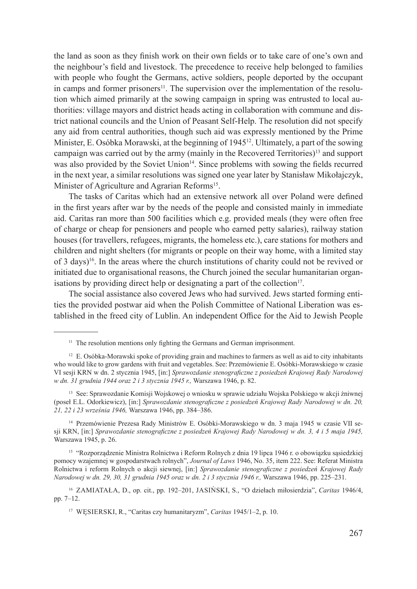the land as soon as they finish work on their own fields or to take care of one's own and the neighbour's field and livestock. The precedence to receive help belonged to families with people who fought the Germans, active soldiers, people deported by the occupant in camps and former prisoners<sup>11</sup>. The supervision over the implementation of the resolution which aimed primarily at the sowing campaign in spring was entrusted to local authorities: village mayors and district heads acting in collaboration with commune and district national councils and the Union of Peasant Self-Help. The resolution did not specify any aid from central authorities, though such aid was expressly mentioned by the Prime Minister, E. Osóbka Morawski, at the beginning of 1945<sup>12</sup>. Ultimately, a part of the sowing campaign was carried out by the army (mainly in the Recovered Territories)<sup>13</sup> and support was also provided by the Soviet Union<sup>14</sup>. Since problems with sowing the fields recurred in the next year, a similar resolutions was signed one year later by Stanisław Mikołajczyk, Minister of Agriculture and Agrarian Reforms<sup>15</sup>.

The tasks of Caritas which had an extensive network all over Poland were defined in the first years after war by the needs of the people and consisted mainly in immediate aid. Caritas ran more than 500 facilities which e.g. provided meals (they were often free of charge or cheap for pensioners and people who earned petty salaries), railway station houses (for travellers, refugees, migrants, the homeless etc.), care stations for mothers and children and night shelters (for migrants or people on their way home, with a limited stay of 3 days)<sup>16</sup>. In the areas where the church institutions of charity could not be revived or initiated due to organisational reasons, the Church joined the secular humanitarian organisations by providing direct help or designating a part of the collection<sup>17</sup>.

The social assistance also covered Jews who had survived. Jews started forming entities the provided postwar aid when the Polish Committee of National Liberation was established in the freed city of Lublin. An independent Office for the Aid to Jewish People

<sup>13</sup> See: Sprawozdanie Komisji Wojskowej o wniosku w sprawie udziału Wojska Polskiego w akcji żniwnej (poseł E.L. Odorkiewicz), [in:] *Sprawozdanie stenograficzne z posiedzeń Krajowej Rady Narodowej w dn. 20, 21, 22 i 23 września 1946,* Warszawa 1946, pp. 384–386.

<sup>14</sup> Przemówienie Prezesa Rady Ministrów E. Osóbki-Morawskiego w dn. 3 maja 1945 w czasie VII sesji KRN, [in:] *Sprawozdanie stenograficzne z posiedzeń Krajowej Rady Narodowej w dn. 3, 4 i 5 maja 1945,*  Warszawa 1945, p. 26.

<sup>15</sup> "Rozporządzenie Ministra Rolnictwa i Reform Rolnych z dnia 19 lipca 1946 r. o obowiązku sąsiedzkiej pomocy wzajemnej w gospodarstwach rolnych", *Journal of Laws* 1946, No. 35, item 222. See: Referat Ministra Rolnictwa i reform Rolnych o akcji siewnej, [in:] *Sprawozdanie stenograficzne z posiedzeń Krajowej Rady Narodowej w dn. 29, 30, 31 grudnia 1945 oraz w dn. 2 i 3 stycznia 1946 r.,* Warszawa 1946, pp. 225–231.

<sup>16</sup> Zamiatała, D., op. cit., pp. 192–201, Jasiński, S., "O dziełach miłosierdzia", *Caritas* 1946/4, pp. 7–12.

<sup>17</sup> Węsierski, R., "Caritas czy humanitaryzm", *Caritas* 1945/1–2, p. 10.

<sup>&</sup>lt;sup>11</sup> The resolution mentions only fighting the Germans and German imprisonment.

<sup>&</sup>lt;sup>12</sup> E. Osóbka-Morawski spoke of providing grain and machines to farmers as well as aid to city inhabitants who would like to grow gardens with fruit and vegetables. See: Przemówienie E. Osóbki-Morawskiego w czasie VI sesji KRN w dn. 2 stycznia 1945, [in:] *Sprawozdanie stenograficzne z posiedzeń Krajowej Rady Narodowej w dn. 31 grudnia 1944 oraz 2 i 3 stycznia 1945 r.,* Warszawa 1946, p. 82.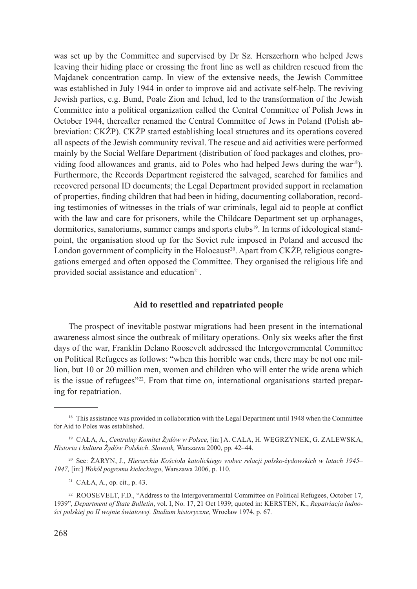was set up by the Committee and supervised by Dr Sz. Herszerhorn who helped Jews leaving their hiding place or crossing the front line as well as children rescued from the Majdanek concentration camp. In view of the extensive needs, the Jewish Committee was established in July 1944 in order to improve aid and activate self-help. The reviving Jewish parties, e.g. Bund, Poale Zion and Ichud, led to the transformation of the Jewish Committee into a political organization called the Central Committee of Polish Jews in October 1944, thereafter renamed the Central Committee of Jews in Poland (Polish abbreviation: CKŻP). CKŻP started establishing local structures and its operations covered all aspects of the Jewish community revival. The rescue and aid activities were performed mainly by the Social Welfare Department (distribution of food packages and clothes, providing food allowances and grants, aid to Poles who had helped Jews during the war $18$ ). Furthermore, the Records Department registered the salvaged, searched for families and recovered personal ID documents; the Legal Department provided support in reclamation of properties, finding children that had been in hiding, documenting collaboration, recording testimonies of witnesses in the trials of war criminals, legal aid to people at conflict with the law and care for prisoners, while the Childcare Department set up orphanages, dormitories, sanatoriums, summer camps and sports clubs19. In terms of ideological standpoint, the organisation stood up for the Soviet rule imposed in Poland and accused the London government of complicity in the Holocaust<sup>20</sup>. Apart from CKŻP, religious congregations emerged and often opposed the Committee. They organised the religious life and provided social assistance and education<sup>21</sup>.

## **Aid to resettled and repatriated people**

The prospect of inevitable postwar migrations had been present in the international awareness almost since the outbreak of military operations. Only six weeks after the first days of the war, Franklin Delano Roosevelt addressed the Intergovernmental Committee on Political Refugees as follows: "when this horrible war ends, there may be not one million, but 10 or 20 million men, women and children who will enter the wide arena which is the issue of refugees"<sup>22</sup>. From that time on, international organisations started preparing for repatriation.

<sup>&</sup>lt;sup>18</sup> This assistance was provided in collaboration with the Legal Department until 1948 when the Committee for Aid to Poles was established.

<sup>&</sup>lt;sup>19</sup> CAŁA, A., *Centralny Komitet Żydów w Polsce*, [in:] A. CAŁA, H. WEGRZYNEK, G. ZALEWSKA, *Historia i kultura Żydów Polskich*. *Słownik,* Warszawa 2000, pp. 42–44.

<sup>20</sup> See: Żaryn, J., *Hierarchia Kościoła katolickiego wobec relacji polsko-żydowskich w latach 1945– 1947,* [in:] *Wokół pogromu kieleckiego*, Warszawa 2006, p. 110.

<sup>21</sup> Cała, A., op. cit., p. 43.

<sup>&</sup>lt;sup>22</sup> ROOSEVELT, F.D., "Address to the Intergovernmental Committee on Political Refugees, October 17, 1939", *Department of State Bulletin*, vol. I, No. 17, 21 Oct 1939; quoted in: KERSTEN, K., *Repatriacja ludności polskiej po II wojnie światowej. Studium historyczne,* Wrocław 1974, p. 67.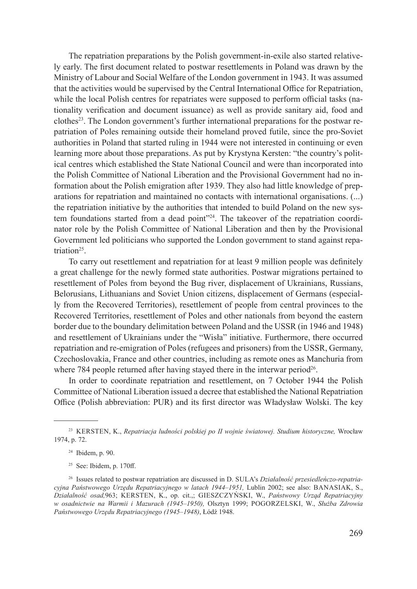The repatriation preparations by the Polish government-in-exile also started relatively early. The first document related to postwar resettlements in Poland was drawn by the Ministry of Labour and Social Welfare of the London government in 1943. It was assumed that the activities would be supervised by the Central International Office for Repatriation, while the local Polish centres for repatriates were supposed to perform official tasks (nationality verification and document issuance) as well as provide sanitary aid, food and clothes23. The London government's further international preparations for the postwar repatriation of Poles remaining outside their homeland proved futile, since the pro-Soviet authorities in Poland that started ruling in 1944 were not interested in continuing or even learning more about those preparations. As put by Krystyna Kersten: "the country's political centres which established the State National Council and were than incorporated into the Polish Committee of National Liberation and the Provisional Government had no information about the Polish emigration after 1939. They also had little knowledge of preparations for repatriation and maintained no contacts with international organisations. (...) the repatriation initiative by the authorities that intended to build Poland on the new system foundations started from a dead point"<sup>24</sup>. The takeover of the repatriation coordinator role by the Polish Committee of National Liberation and then by the Provisional Government led politicians who supported the London government to stand against repatriation<sup>25</sup>.

To carry out resettlement and repatriation for at least 9 million people was definitely a great challenge for the newly formed state authorities. Postwar migrations pertained to resettlement of Poles from beyond the Bug river, displacement of Ukrainians, Russians, Belorusians, Lithuanians and Soviet Union citizens, displacement of Germans (especially from the Recovered Territories), resettlement of people from central provinces to the Recovered Territories, resettlement of Poles and other nationals from beyond the eastern border due to the boundary delimitation between Poland and the USSR (in 1946 and 1948) and resettlement of Ukrainians under the "Wisła" initiative. Furthermore, there occurred repatriation and re-emigration of Poles (refugees and prisoners) from the USSR, Germany, Czechoslovakia, France and other countries, including as remote ones as Manchuria from where 784 people returned after having stayed there in the interwar period<sup>26</sup>.

In order to coordinate repatriation and resettlement, on 7 October 1944 the Polish Committee of National Liberation issued a decree that established the National Repatriation Office (Polish abbreviation: PUR) and its first director was Władysław Wolski. The key

<sup>23</sup> Kersten, K., *Repatriacja ludności polskiej po II wojnie światowej. Studium historyczne,* Wrocław 1974, p. 72.

<sup>24</sup> Ibidem, p. 90.

 $25$  See: Ibidem, p. 170ff.

<sup>&</sup>lt;sup>26</sup> Issues related to postwar repatriation are discussed in D. SULA's *Działalność przesiedleńczo-repatriacyjna Państwowego Urzędu Repatriacyjnego w latach 1944–1951*, Lublin 2002; see also: BANASIAK, S., *Działalność osad,*963; Kersten, K., op. cit.,; Gieszczyński, W., *Państwowy Urząd Repatriacyjny w osadnictwie na Warmii i Mazurach (1945–1950),* Olsztyn 1999; Pogorzelski, W., *Służba Zdrowia Państwowego Urzędu Repatriacyjnego (1945–1948)*, Łódź 1948.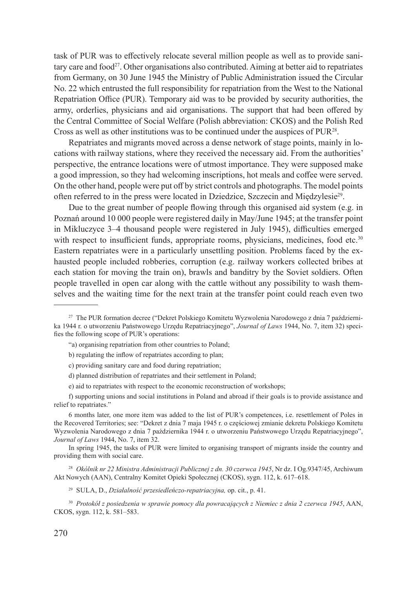task of PUR was to effectively relocate several million people as well as to provide sanitary care and food<sup>27</sup>. Other organisations also contributed. Aiming at better aid to repatriates from Germany, on 30 June 1945 the Ministry of Public Administration issued the Circular No. 22 which entrusted the full responsibility for repatriation from the West to the National Repatriation Office (PUR). Temporary aid was to be provided by security authorities, the army, orderlies, physicians and aid organisations. The support that had been offered by the Central Committee of Social Welfare (Polish abbreviation: CKOS) and the Polish Red Cross as well as other institutions was to be continued under the auspices of PUR<sup>28</sup>.

Repatriates and migrants moved across a dense network of stage points, mainly in locations with railway stations, where they received the necessary aid. From the authorities' perspective, the entrance locations were of utmost importance. They were supposed make a good impression, so they had welcoming inscriptions, hot meals and coffee were served. On the other hand, people were put off by strict controls and photographs. The model points often referred to in the press were located in Dziedzice, Szczecin and Międzylesie29.

Due to the great number of people flowing through this organised aid system (e.g. in Poznań around 10 000 people were registered daily in May/June 1945; at the transfer point in Mikluczyce 3–4 thousand people were registered in July 1945), difficulties emerged with respect to insufficient funds, appropriate rooms, physicians, medicines, food etc.<sup>30</sup> Eastern repatriates were in a particularly unsettling position. Problems faced by the exhausted people included robberies, corruption (e.g. railway workers collected bribes at each station for moving the train on), brawls and banditry by the Soviet soldiers. Often people travelled in open car along with the cattle without any possibility to wash themselves and the waiting time for the next train at the transfer point could reach even two

- c) providing sanitary care and food during repatriation;
- d) planned distribution of repatriates and their settlement in Poland;
- e) aid to repatriates with respect to the economic reconstruction of workshops;

In spring 1945, the tasks of PUR were limited to organising transport of migrants inside the country and providing them with social care.

<sup>28</sup> Okólnik nr 22 Ministra Administracji Publicznej z dn. 30 czerwca 1945, Nr dz. I Og.9347/45, Archiwum Akt Nowych (AAN), Centralny Komitet Opieki Społecznej (CKOS), sygn. 112, k. 617–618.

<sup>27</sup> The PUR formation decree ("Dekret Polskiego Komitetu Wyzwolenia Narodowego z dnia 7 października 1944 r. o utworzeniu Państwowego Urzędu Repatriacyjnego", *Journal of Laws* 1944, No. 7, item 32) specifies the following scope of PUR's operations:

<sup>&</sup>quot;a) organising repatriation from other countries to Poland;

b) regulating the inflow of repatriates according to plan;

f) supporting unions and social institutions in Poland and abroad if their goals is to provide assistance and relief to repatriates."

<sup>6</sup> months later, one more item was added to the list of PUR's competences, i.e. resettlement of Poles in the Recovered Territories; see: "Dekret z dnia 7 maja 1945 r. o częściowej zmianie dekretu Polskiego Komitetu Wyzwolenia Narodowego z dnia 7 października 1944 r. o utworzeniu Państwowego Urzędu Repatriacyjnego", *Journal of Laws* 1944, No. 7, item 32.

<sup>29</sup> Sula, D., *Działalność przesiedleńczo-repatriacyjna,* op. cit., p. 41.

<sup>30</sup> *Protokół z posiedzenia w sprawie pomocy dla powracających z Niemiec z dnia 2 czerwca 1945*, AAN, CKOS, sygn. 112, k. 581–583.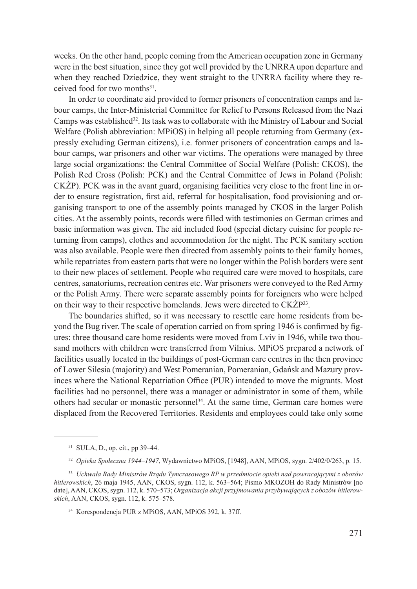weeks. On the other hand, people coming from the American occupation zone in Germany were in the best situation, since they got well provided by the UNRRA upon departure and when they reached Dziedzice, they went straight to the UNRRA facility where they received food for two months<sup>31</sup>.

In order to coordinate aid provided to former prisoners of concentration camps and labour camps, the Inter-Ministerial Committee for Relief to Persons Released from the Nazi Camps was established<sup>32</sup>. Its task was to collaborate with the Ministry of Labour and Social Welfare (Polish abbreviation: MPiOS) in helping all people returning from Germany (expressly excluding German citizens), i.e. former prisoners of concentration camps and labour camps, war prisoners and other war victims. The operations were managed by three large social organizations: the Central Committee of Social Welfare (Polish: CKOS), the Polish Red Cross (Polish: PCK) and the Central Committee of Jews in Poland (Polish: CKŻP). PCK was in the avant guard, organising facilities very close to the front line in order to ensure registration, first aid, referral for hospitalisation, food provisioning and organising transport to one of the assembly points managed by CKOS in the larger Polish cities. At the assembly points, records were filled with testimonies on German crimes and basic information was given. The aid included food (special dietary cuisine for people returning from camps), clothes and accommodation for the night. The PCK sanitary section was also available. People were then directed from assembly points to their family homes, while repatriates from eastern parts that were no longer within the Polish borders were sent to their new places of settlement. People who required care were moved to hospitals, care centres, sanatoriums, recreation centres etc. War prisoners were conveyed to the Red Army or the Polish Army. There were separate assembly points for foreigners who were helped on their way to their respective homelands. Jews were directed to CK $\dot{Z}P^{33}$ .

The boundaries shifted, so it was necessary to resettle care home residents from beyond the Bug river. The scale of operation carried on from spring 1946 is confirmed by figures: three thousand care home residents were moved from Lviv in 1946, while two thousand mothers with children were transferred from Vilnius. MPiOS prepared a network of facilities usually located in the buildings of post-German care centres in the then province of Lower Silesia (majority) and West Pomeranian, Pomeranian, Gdańsk and Mazury provinces where the National Repatriation Office (PUR) intended to move the migrants. Most facilities had no personnel, there was a manager or administrator in some of them, while others had secular or monastic personnel<sup>34</sup>. At the same time, German care homes were displaced from the Recovered Territories. Residents and employees could take only some

<sup>31</sup> Sula, D., op. cit., pp 39–44.

<sup>32</sup> *Opieka Społeczna 1944–1947*, Wydawnictwo MPiOS, [1948], AAN, MPiOS, sygn. 2/402/0/263, p. 15.

<sup>33</sup> *Uchwała Rady Ministrów Rządu Tymczasowego RP w przedmiocie opieki nad powracającymi z obozów hitlerowskich*, 26 maja 1945, AAN, CKOS, sygn. 112, k. 563–564; Pismo MKOZOH do Rady Ministrów [no date], AAN, CKOS, sygn. 112, k. 570–573; *Organizacja akcji przyjmowania przybywających z obozów hitlerowskich*, AAN, CKOS, sygn. 112, k. 575–578.

<sup>34</sup> Korespondencja PUR z MPiOS, AAN, MPiOS 392, k. 37ff.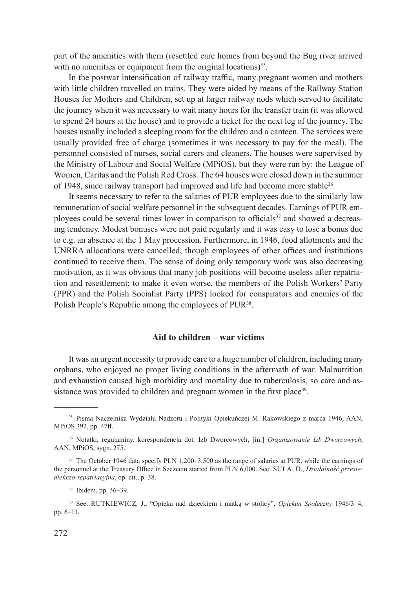part of the amenities with them (resettled care homes from beyond the Bug river arrived with no amenities or equipment from the original locations)<sup>35</sup>.

In the postwar intensification of railway traffic, many pregnant women and mothers with little children travelled on trains. They were aided by means of the Railway Station Houses for Mothers and Children, set up at larger railway nods which served to facilitate the journey when it was necessary to wait many hours for the transfer train (it was allowed to spend 24 hours at the house) and to provide a ticket for the next leg of the journey. The houses usually included a sleeping room for the children and a canteen. The services were usually provided free of charge (sometimes it was necessary to pay for the meal). The personnel consisted of nurses, social carers and cleaners. The houses were supervised by the Ministry of Labour and Social Welfare (MPiOS), but they were run by: the League of Women, Caritas and the Polish Red Cross. The 64 houses were closed down in the summer of 1948, since railway transport had improved and life had become more stable<sup>36</sup>.

It seems necessary to refer to the salaries of PUR employees due to the similarly low remuneration of social welfare personnel in the subsequent decades. Earnings of PUR employees could be several times lower in comparison to officials37 and showed a decreasing tendency. Modest bonuses were not paid regularly and it was easy to lose a bonus due to e.g. an absence at the 1 May procession. Furthermore, in 1946, food allotments and the UNRRA allocations were cancelled, though employees of other offices and institutions continued to receive them. The sense of doing only temporary work was also decreasing motivation, as it was obvious that many job positions will become useless after repatriation and resettlement; to make it even worse, the members of the Polish Workers' Party (PPR) and the Polish Socialist Party (PPS) looked for conspirators and enemies of the Polish People's Republic among the employees of PUR<sup>38</sup>.

### **Aid to children – war victims**

It was an urgent necessity to provide care to a huge number of children, including many orphans, who enjoyed no proper living conditions in the aftermath of war. Malnutrition and exhaustion caused high morbidity and mortality due to tuberculosis, so care and assistance was provided to children and pregnant women in the first place<sup>39</sup>.

<sup>35</sup> Pisma Naczelnika Wydziału Nadzoru i Polityki Opiekuńczej M. Rakowskiego z marca 1946, AAN, MPiOS 392, pp. 47ff.

<sup>36</sup> Notatki, regulaminy, korespondencja dot. Izb Dworcowych, [in:] *Organizowanie Izb Dworcowych*, AAN, MPiOS, sygn. 275.

<sup>&</sup>lt;sup>37</sup> The October 1946 data specify PLN 1,200–3,500 as the range of salaries at PUR, while the earnings of the personnel at the Treasury Office in Szczecin started from PLN 6,000. See: SULA, D., *Działalność przesiedleńczo-repatriacyjna*, op. cit., p. 38.

<sup>38</sup> Ibidem, pp. 36–39.

<sup>39</sup> See: Rutkiewicz*,* J., "Opieka nad dzieckiem i matką w stolicy", *Opiekun Społeczny* 1946/3–4, pp. 6–11.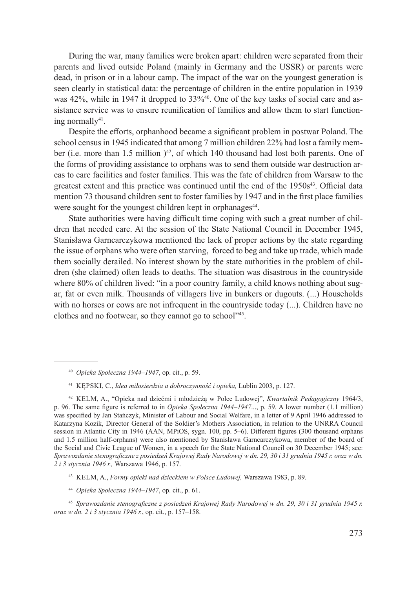During the war, many families were broken apart: children were separated from their parents and lived outside Poland (mainly in Germany and the USSR) or parents were dead, in prison or in a labour camp. The impact of the war on the youngest generation is seen clearly in statistical data: the percentage of children in the entire population in 1939 was  $42\%$ , while in 1947 it dropped to  $33\%$ <sup>40</sup>. One of the key tasks of social care and assistance service was to ensure reunification of families and allow them to start functioning normally $41$ .

Despite the efforts, orphanhood became a significant problem in postwar Poland. The school census in 1945 indicated that among 7 million children 22% had lost a family member (i.e. more than 1.5 million  $)^{42}$ , of which 140 thousand had lost both parents. One of the forms of providing assistance to orphans was to send them outside war destruction areas to care facilities and foster families. This was the fate of children from Warsaw to the greatest extent and this practice was continued until the end of the  $1950s<sup>43</sup>$ . Official data mention 73 thousand children sent to foster families by 1947 and in the first place families were sought for the youngest children kept in orphanages<sup>44</sup>.

State authorities were having difficult time coping with such a great number of children that needed care. At the session of the State National Council in December 1945, Stanisława Garncarczykowa mentioned the lack of proper actions by the state regarding the issue of orphans who were often starving, forced to beg and take up trade, which made them socially derailed. No interest shown by the state authorities in the problem of children (she claimed) often leads to deaths. The situation was disastrous in the countryside where 80% of children lived: "in a poor country family, a child knows nothing about sugar, fat or even milk. Thousands of villagers live in bunkers or dugouts. (...) Households with no horses or cows are not infrequent in the countryside today (...). Children have no clothes and no footwear, so they cannot go to school"45.

<sup>40</sup> *Opieka Społeczna 1944–1947*, op. cit., p. 59.

<sup>41</sup> Kępski, C., *Idea miłosierdzia a dobroczynność i opieka,* Lublin 2003, p. 127.

<sup>42</sup> Kelm, A., "Opieka nad dziećmi i młodzieżą w Polce Ludowej", *Kwartalnik Pedagogiczny* 1964/3, p. 96. The same figure is referred to in *Opieka Społeczna 1944–1947*..., p. 59. A lower number (1.1 million) was specified by Jan Stańczyk, Minister of Labour and Social Welfare, in a letter of 9 April 1946 addressed to Katarzyna Kozik, Director General of the Soldier's Mothers Association, in relation to the UNRRA Council session in Atlantic City in 1946 (AAN, MPiOS, sygn. 100, pp. 5–6). Different figures (300 thousand orphans and 1.5 million half-orphans) were also mentioned by Stanisława Garncarczykowa, member of the board of the Social and Civic League of Women, in a speech for the State National Council on 30 December 1945; see: *Sprawozdanie stenograficzne z posiedzeń Krajowej Rady Narodowej w dn. 29, 30 i 31 grudnia 1945 r. oraz w dn. 2 i 3 stycznia 1946 r.,* Warszawa 1946, p. 157.

<sup>43</sup> Kelm, A., *Formy opieki nad dzieckiem w Polsce Ludowej,* Warszawa 1983, p. 89.

<sup>44</sup> *Opieka Społeczna 1944–1947*, op. cit., p. 61.

<sup>45</sup> *Sprawozdanie stenograficzne z posiedzeń Krajowej Rady Narodowej w dn. 29, 30 i 31 grudnia 1945 r. oraz w dn. 2 i 3 stycznia 1946 r.*, op. cit., p. 157–158.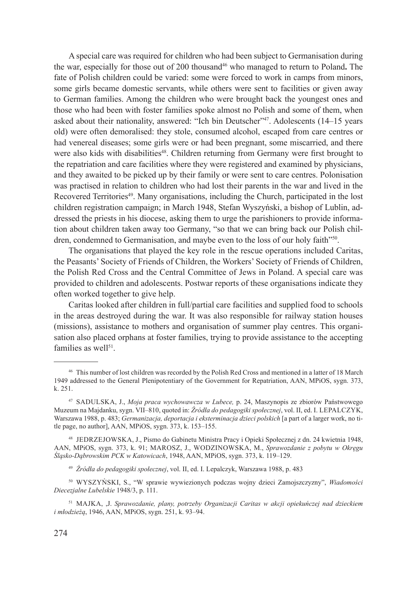A special care was required for children who had been subject to Germanisation during the war, especially for those out of 200 thousand46 who managed to return to Poland**.** The fate of Polish children could be varied: some were forced to work in camps from minors, some girls became domestic servants, while others were sent to facilities or given away to German families. Among the children who were brought back the youngest ones and those who had been with foster families spoke almost no Polish and some of them, when asked about their nationality, answered: "Ich bin Deutscher"47. Adolescents (14–15 years old) were often demoralised: they stole, consumed alcohol, escaped from care centres or had venereal diseases; some girls were or had been pregnant, some miscarried, and there were also kids with disabilities<sup>48</sup>. Children returning from Germany were first brought to the repatriation and care facilities where they were registered and examined by physicians, and they awaited to be picked up by their family or were sent to care centres. Polonisation was practised in relation to children who had lost their parents in the war and lived in the Recovered Territories<sup>49</sup>. Many organisations, including the Church, participated in the lost children registration campaign; in March 1948, Stefan Wyszyński, a bishop of Lublin, addressed the priests in his diocese, asking them to urge the parishioners to provide information about children taken away too Germany, "so that we can bring back our Polish children, condemned to Germanisation, and maybe even to the loss of our holy faith"50.

The organisations that played the key role in the rescue operations included Caritas, the Peasants' Society of Friends of Children, the Workers' Society of Friends of Children, the Polish Red Cross and the Central Committee of Jews in Poland. A special care was provided to children and adolescents. Postwar reports of these organisations indicate they often worked together to give help.

Caritas looked after children in full/partial care facilities and supplied food to schools in the areas destroyed during the war. It was also responsible for railway station houses (missions), assistance to mothers and organisation of summer play centres. This organisation also placed orphans at foster families, trying to provide assistance to the accepting families as well $51$ .

<sup>48</sup> Jedrzejowska, J., Pismo do Gabinetu Ministra Pracy i Opieki Społecznej z dn. 24 kwietnia 1948, AAN, MPiOS, sygn. 373, k. 91; Marosz, J., Wodzinowska, M., *Sprawozdanie z pobytu w Okręgu Śląsko-Dąbrowskim PCK w Katowicach*, 1948, AAN, MPiOS, sygn. 373, k. 119–129.

<sup>49</sup> *Źródła do pedagogiki społecznej*, vol. II, ed. I. Lepalczyk, Warszawa 1988, p. 483

<sup>50</sup> Wyszyński, S., "W sprawie wywiezionych podczas wojny dzieci Zamojszczyzny", *Wiadomości Diecezjalne Lubelskie* 1948/3, p. 111.

<sup>46</sup> This number of lost children was recorded by the Polish Red Cross and mentioned in a latter of 18 March 1949 addressed to the General Plenipotentiary of the Government for Repatriation, AAN, MPiOS, sygn. 373, k. 251.

<sup>47</sup> Sadulska, J., *Moja praca wychowawcza w Lubece,* p. 24, Maszynopis ze zbiorów Państwowego Muzeum na Majdanku, sygn. VII–810, quoted in: *Źródła do pedagogiki społecznej*, vol. II, ed. I. Lepalczyk, Warszawa 1988, p. 483; *Germanizacja, deportacja i eksterminacja dzieci polskich* [a part of a larger work, no title page, no author], AAN, MPiOS, sygn. 373, k. 153–155.

<sup>51</sup> Majka, ,J. *Sprawozdanie, plany, potrzeby Organizacji Caritas w akcji opiekuńczej nad dzieckiem i młodzieżą*, 1946, AAN, MPiOS, sygn. 251, k. 93–94.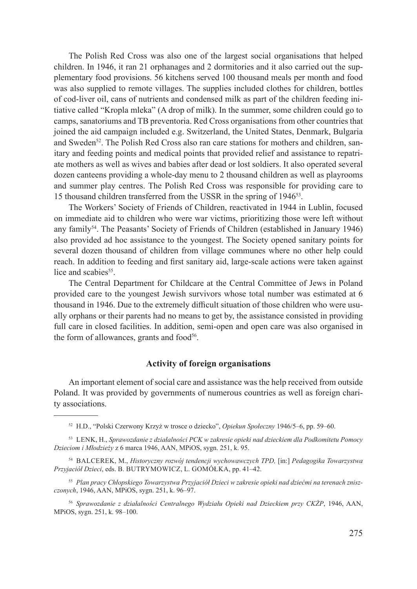The Polish Red Cross was also one of the largest social organisations that helped children. In 1946, it ran 21 orphanages and 2 dormitories and it also carried out the supplementary food provisions. 56 kitchens served 100 thousand meals per month and food was also supplied to remote villages. The supplies included clothes for children, bottles of cod-liver oil, cans of nutrients and condensed milk as part of the children feeding initiative called "Kropla mleka" (A drop of milk). In the summer, some children could go to camps, sanatoriums and TB preventoria. Red Cross organisations from other countries that joined the aid campaign included e.g. Switzerland, the United States, Denmark, Bulgaria and Sweden<sup>52</sup>. The Polish Red Cross also ran care stations for mothers and children, sanitary and feeding points and medical points that provided relief and assistance to repatriate mothers as well as wives and babies after dead or lost soldiers. It also operated several dozen canteens providing a whole-day menu to 2 thousand children as well as playrooms and summer play centres. The Polish Red Cross was responsible for providing care to 15 thousand children transferred from the USSR in the spring of 194653.

The Workers' Society of Friends of Children, reactivated in 1944 in Lublin, focused on immediate aid to children who were war victims, prioritizing those were left without any family54. The Peasants' Society of Friends of Children (established in January 1946) also provided ad hoc assistance to the youngest. The Society opened sanitary points for several dozen thousand of children from village communes where no other help could reach. In addition to feeding and first sanitary aid, large-scale actions were taken against lice and scabies<sup>55</sup>.

The Central Department for Childcare at the Central Committee of Jews in Poland provided care to the youngest Jewish survivors whose total number was estimated at 6 thousand in 1946. Due to the extremely difficult situation of those children who were usually orphans or their parents had no means to get by, the assistance consisted in providing full care in closed facilities. In addition, semi-open and open care was also organised in the form of allowances, grants and food $56$ .

# **Activity of foreign organisations**

An important element of social care and assistance was the help received from outside Poland. It was provided by governments of numerous countries as well as foreign charity associations.

<sup>52</sup> H.D., "Polski Czerwony Krzyż w trosce o dziecko", *Opiekun Społeczny* 1946/5–6, pp. 59–60.

<sup>53</sup> Lenk, H., *Sprawozdanie z działalności PCK w zakresie opieki nad dzieckiem dla Podkomitetu Pomocy Dzieciom i Młodzieży* z 6 marca 1946, AAN, MPiOS, sygn. 251, k. 95.

<sup>54</sup> Balcerek, M., *Historyczny rozwój tendencji wychowawczych TPD,* [in:] *Pedagogika Towarzystwa Przyjaciół Dzieci*, eds. B. Butrymowicz, L. Gomółka, pp. 41–42.

<sup>55</sup> *Plan pracy Chłopskiego Towarzystwa Przyjaciół Dzieci w zakresie opieki nad dziećmi na terenach zniszczonych*, 1946, AAN, MPiOS, sygn. 251, k. 96–97.

<sup>56</sup> *Sprawozdanie z działalności Centralnego Wydziału Opieki nad Dzieckiem przy CKŻP*, 1946, AAN, MPiOS, sygn. 251, k. 98–100.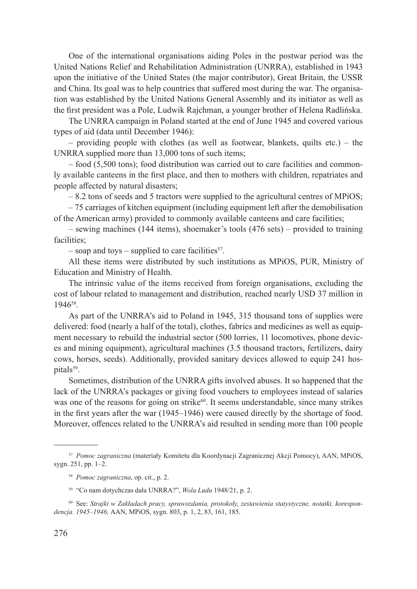One of the international organisations aiding Poles in the postwar period was the United Nations Relief and Rehabilitation Administration (UNRRA), established in 1943 upon the initiative of the United States (the major contributor), Great Britain, the USSR and China. Its goal was to help countries that suffered most during the war. The organisation was established by the United Nations General Assembly and its initiator as well as the first president was a Pole, Ludwik Rajchman, a younger brother of Helena Radlińska.

The UNRRA campaign in Poland started at the end of June 1945 and covered various types of aid (data until December 1946):

 $-$  providing people with clothes (as well as footwear, blankets, quilts etc.)  $-$  the UNRRA supplied more than 13,000 tons of such items;

– food (5,500 tons); food distribution was carried out to care facilities and commonly available canteens in the first place, and then to mothers with children, repatriates and people affected by natural disasters;

 $-8.2$  tons of seeds and 5 tractors were supplied to the agricultural centres of MPiOS;

– 75 carriages of kitchen equipment (including equipment left after the demobilisation of the American army) provided to commonly available canteens and care facilities;

– sewing machines (144 items), shoemaker's tools (476 sets) – provided to training facilities;

– soap and toys – supplied to care facilities<sup>57</sup>.

All these items were distributed by such institutions as MPiOS, PUR, Ministry of Education and Ministry of Health.

The intrinsic value of the items received from foreign organisations, excluding the cost of labour related to management and distribution, reached nearly USD 37 million in 194658.

As part of the UNRRA's aid to Poland in 1945, 315 thousand tons of supplies were delivered: food (nearly a half of the total), clothes, fabrics and medicines as well as equipment necessary to rebuild the industrial sector (500 lorries, 11 locomotives, phone devices and mining equipment), agricultural machines (3.5 thousand tractors, fertilizers, dairy cows, horses, seeds). Additionally, provided sanitary devices allowed to equip 241 hospitals<sup>59</sup>.

Sometimes, distribution of the UNRRA gifts involved abuses. It so happened that the lack of the UNRRA's packages or giving food vouchers to employees instead of salaries was one of the reasons for going on strike $60$ . It seems understandable, since many strikes in the first years after the war (1945–1946) were caused directly by the shortage of food. Moreover, offences related to the UNRRA's aid resulted in sending more than 100 people

<sup>57</sup> *Pomoc zagraniczna* (materiały Komitetu dla Koordynacji Zagranicznej Akcji Pomocy), AAN, MPiOS, sygn. 251, pp. 1–2.

<sup>58</sup> *Pomoc zagraniczna*, op. cit., p. 2.

<sup>59</sup> "Co nam dotychczas dała UNRRA?", *Wola Ludu* 1948/21, p. 2.

<sup>60</sup> See: *Strajki w Zakładach pracy, sprawozdania, protokoły, zestawienia statystyczne, notatki, korespondencja. 1945–1946,* AAN, MPiOS, sygn. 803, p. 1, 2, 83, 161, 185.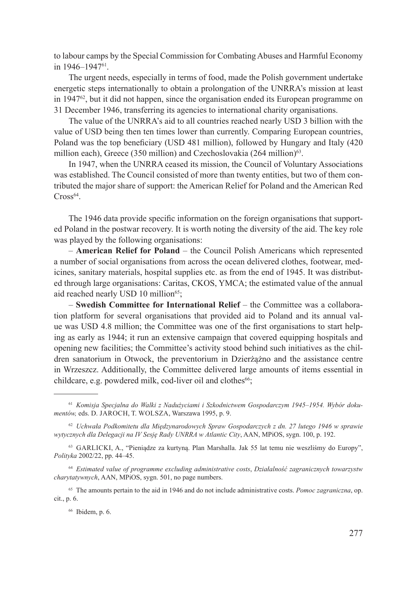to labour camps by the Special Commission for Combating Abuses and Harmful Economy in 1946–194761.

The urgent needs, especially in terms of food, made the Polish government undertake energetic steps internationally to obtain a prolongation of the UNRRA's mission at least in  $1947<sup>62</sup>$ , but it did not happen, since the organisation ended its European programme on 31 December 1946, transferring its agencies to international charity organisations.

The value of the UNRRA's aid to all countries reached nearly USD 3 billion with the value of USD being then ten times lower than currently. Comparing European countries, Poland was the top beneficiary (USD 481 million), followed by Hungary and Italy (420 million each), Greece (350 million) and Czechoslovakia (264 million) $63$ .

In 1947, when the UNRRA ceased its mission, the Council of Voluntary Associations was established. The Council consisted of more than twenty entities, but two of them contributed the major share of support: the American Relief for Poland and the American Red  $Cross<sup>64</sup>$ .

The 1946 data provide specific information on the foreign organisations that supported Poland in the postwar recovery. It is worth noting the diversity of the aid. The key role was played by the following organisations:

– **American Relief for Poland** – the Council Polish Americans which represented a number of social organisations from across the ocean delivered clothes, footwear, medicines, sanitary materials, hospital supplies etc. as from the end of 1945. It was distributed through large organisations: Caritas, CKOS, YMCA; the estimated value of the annual aid reached nearly USD 10 million<sup>65</sup>;

– **Swedish Committee for International Relief** – the Committee was a collaboration platform for several organisations that provided aid to Poland and its annual value was USD 4.8 million; the Committee was one of the first organisations to start helping as early as 1944; it run an extensive campaign that covered equipping hospitals and opening new facilities; the Committee's activity stood behind such initiatives as the children sanatorium in Otwock, the preventorium in Dzierżążno and the assistance centre in Wrzeszcz. Additionally, the Committee delivered large amounts of items essential in childcare, e.g. powdered milk, cod-liver oil and clothes $66$ ;

<sup>66</sup> Ibidem, p. 6.

<sup>61</sup> *Komisja Specjalna do Walki z Nadużyciami i Szkodnictwem Gospodarczym 1945–1954. Wybór dokumentów,* eds. D. Jaroch, T. Wolsza, Warszawa 1995, p. 9.

<sup>62</sup> *Uchwała Podkomitetu dla Międzynarodowych Spraw Gospodarczych z dn. 27 lutego 1946 w sprawie wytycznych dla Delegacji na IV Sesję Rady UNRRA w Atlantic City*, AAN, MPiOS, sygn. 100, p. 192.

<sup>&</sup>lt;sup>63</sup> GARLICKI, A., "Pieniądze za kurtyną. Plan Marshalla. Jak 55 lat temu nie weszliśmy do Europy", *Polityka* 2002/22, pp. 44–45.

<sup>64</sup> *Estimated value of programme excluding administrative costs*, *Działalność zagranicznych towarzystw charytatywnych*, AAN, MPiOS, sygn. 501, no page numbers.

<sup>65</sup> The amounts pertain to the aid in 1946 and do not include administrative costs. *Pomoc zagraniczna*, op. cit., p. 6.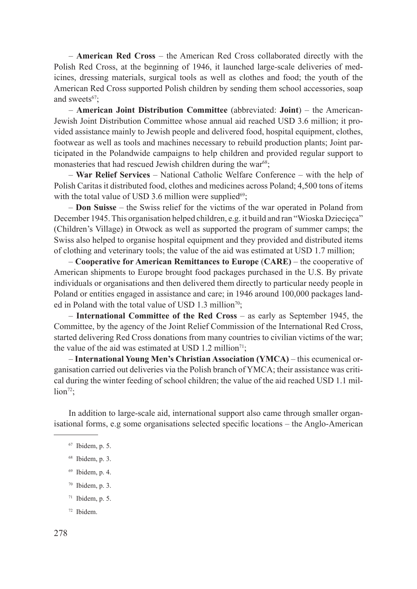– **American Red Cross** – the American Red Cross collaborated directly with the Polish Red Cross, at the beginning of 1946, it launched large-scale deliveries of medicines, dressing materials, surgical tools as well as clothes and food; the youth of the American Red Cross supported Polish children by sending them school accessories, soap and sweets<sup>67</sup>;

– **American Joint Distribution Committee** (abbreviated: **Joint**) – the American-Jewish Joint Distribution Committee whose annual aid reached USD 3.6 million; it provided assistance mainly to Jewish people and delivered food, hospital equipment, clothes, footwear as well as tools and machines necessary to rebuild production plants; Joint participated in the Polandwide campaigns to help children and provided regular support to monasteries that had rescued Jewish children during the war<sup>68</sup>;

– **War Relief Services** – National Catholic Welfare Conference – with the help of Polish Caritas it distributed food, clothes and medicines across Poland; 4,500 tons of items with the total value of USD 3.6 million were supplied $69$ :

– **Don Suisse** – the Swiss relief for the victims of the war operated in Poland from December 1945. This organisation helped children, e.g. it build and ran "Wioska Dziecięca" (Children's Village) in Otwock as well as supported the program of summer camps; the Swiss also helped to organise hospital equipment and they provided and distributed items of clothing and veterinary tools; the value of the aid was estimated at USD 1.7 million;

– **Cooperative for American Remittances to Europe** (**CARE)** – the cooperative of American shipments to Europe brought food packages purchased in the U.S. By private individuals or organisations and then delivered them directly to particular needy people in Poland or entities engaged in assistance and care; in 1946 around 100,000 packages landed in Poland with the total value of USD 1.3 million<sup>70</sup>;

– **International Committee of the Red Cross** – as early as September 1945, the Committee, by the agency of the Joint Relief Commission of the International Red Cross, started delivering Red Cross donations from many countries to civilian victims of the war; the value of the aid was estimated at USD 1.2 million<sup>71</sup>;

– **International Young Men's Christian Association (YMCA)** – this ecumenical organisation carried out deliveries via the Polish branch of YMCA; their assistance was critical during the winter feeding of school children; the value of the aid reached USD 1.1 mil- $\lim^{72}$ ;

In addition to large-scale aid, international support also came through smaller organisational forms, e.g some organisations selected specific locations – the Anglo-American

<sup>67</sup> Ibidem, p. 5.

<sup>68</sup> Ibidem, p. 3.

<sup>69</sup> Ibidem, p. 4.

<sup>70</sup> Ibidem, p. 3.

 $71$  Ibidem, p. 5.

<sup>72</sup> Ibidem.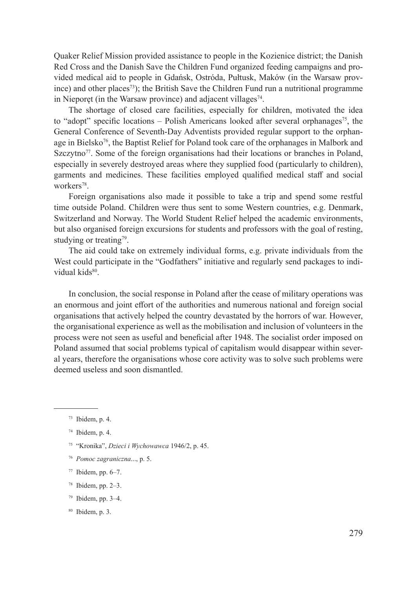Quaker Relief Mission provided assistance to people in the Kozienice district; the Danish Red Cross and the Danish Save the Children Fund organized feeding campaigns and provided medical aid to people in Gdańsk, Ostróda, Pułtusk, Maków (in the Warsaw province) and other places<sup>73</sup>); the British Save the Children Fund run a nutritional programme in Nieporet (in the Warsaw province) and adjacent villages<sup>74</sup>.

The shortage of closed care facilities, especially for children, motivated the idea to "adopt" specific locations  $-$  Polish Americans looked after several orphanages<sup>75</sup>, the General Conference of Seventh-Day Adventists provided regular support to the orphanage in Bielsko<sup>76</sup>, the Baptist Relief for Poland took care of the orphanages in Malbork and Szczytno<sup>77</sup>. Some of the foreign organisations had their locations or branches in Poland, especially in severely destroyed areas where they supplied food (particularly to children), garments and medicines. These facilities employed qualified medical staff and social workers<sup>78</sup>.

Foreign organisations also made it possible to take a trip and spend some restful time outside Poland. Children were thus sent to some Western countries, e.g. Denmark, Switzerland and Norway. The World Student Relief helped the academic environments, but also organised foreign excursions for students and professors with the goal of resting, studying or treating<sup>79</sup>.

The aid could take on extremely individual forms, e.g. private individuals from the West could participate in the "Godfathers" initiative and regularly send packages to individual kids<sup>80</sup>

In conclusion, the social response in Poland after the cease of military operations was an enormous and joint effort of the authorities and numerous national and foreign social organisations that actively helped the country devastated by the horrors of war. However, the organisational experience as well as the mobilisation and inclusion of volunteers in the process were not seen as useful and beneficial after 1948. The socialist order imposed on Poland assumed that social problems typical of capitalism would disappear within several years, therefore the organisations whose core activity was to solve such problems were deemed useless and soon dismantled.

- <sup>76</sup> *Pomoc zagraniczna*..., p. 5.
- <sup>77</sup> Ibidem, pp. 6–7.
- <sup>78</sup> Ibidem, pp. 2–3.
- $79$  Ibidem, pp. 3-4.

 $73$  Ibidem, p. 4.

<sup>74</sup> Ibidem, p. 4.

<sup>75</sup> "Kronika", *Dzieci i Wychowawca* 1946/2, p. 45.

<sup>80</sup> Ibidem, p. 3.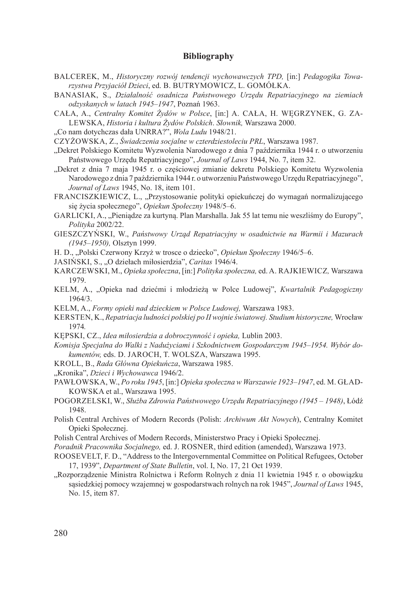# **Bibliography**

- BALCEREK, M., *Historyczny rozwój tendencji wychowawczych TPD*, [in:] *Pedagogika Towarzystwa Przyjaciół Dzieci*, ed. B. Butrymowicz, L. Gomółka.
- Banasiak, S., *Działalność osadnicza Państwowego Urzędu Repatriacyjnego na ziemiach odzyskanych w latach 1945–1947*, Poznań 1963.
- Cała, A., *Centralny Komitet Żydów w Polsce*, [in:] A. Cała, H. Węgrzynek, G. Zalewska, *Historia i kultura Żydów Polskich*. *Słownik,* Warszawa 2000.
- "Co nam dotychczas dała UNRRA?", *Wola Ludu* 1948/21.

Czyżowska, Z., *Świadczenia socjalne w czterdziestoleciu PRL*, Warszawa 1987.

- "Dekret Polskiego Komitetu Wyzwolenia Narodowego z dnia 7 października 1944 r. o utworzeniu Państwowego Urzędu Repatriacyjnego", *Journal of Laws* 1944, No. 7, item 32.
- "Dekret z dnia 7 maja 1945 r. o częściowej zmianie dekretu Polskiego Komitetu Wyzwolenia Narodowego z dnia 7 października 1944 r. o utworzeniu Państwowego Urzędu Repatriacyjnego", *Journal of Laws* 1945, No. 18, item 101.
- Franciszkiewicz, L., "Przystosowanie polityki opiekuńczej do wymagań normalizującego się życia społecznego", *Opiekun Społeczny* 1948/5–6.
- GARLICKI, A., "Pieniadze za kurtyna. Plan Marshalla. Jak 55 lat temu nie weszliśmy do Europy", *Polityka* 2002/22.
- Gieszczyński, W., *Państwowy Urząd Repatriacyjny w osadnictwie na Warmii i Mazurach (1945–1950),* Olsztyn 1999.
- H. D., "Polski Czerwony Krzyż w trosce o dziecko", *Opiekun Społeczny* 1946/5–6.
- Jasiński, S., "O dziełach miłosierdzia", *Caritas* 1946/4.
- Karczewski, M., *Opieka społeczna*, [in:] *Polityka społeczna,* ed. A. Rajkiewicz*,* Warszawa 1979.
- Kelm, A., "Opieka nad dziećmi i młodzieżą w Polce Ludowej", *Kwartalnik Pedagogiczny* 1964/3.
- Kelm, A., *Formy opieki nad dzieckiem w Polsce Ludowej,* Warszawa 1983.
- Kersten, K., *Repatriacja ludności polskiej po II wojnie światowej. Studium historyczne,* Wrocław 1974*.*
- Kępski, Cz., *Idea miłosierdzia a dobroczynność i opieka,* Lublin 2003.
- *Komisja Specjalna do Walki z Nadużyciami i Szkodnictwem Gospodarczym 1945–1954. Wybór dokumentów,* eds. D. Jaroch, T. Wolsza, Warszawa 1995.
- Kroll, B., *Rada Główna Opiekuńcza*, Warszawa 1985.
- "Kronika", *Dzieci i Wychowawca* 1946/2.
- Pawłowska, W., *Po roku 1945*, [in:] *Opieka społeczna w Warszawie 1923–1947*, ed. M. Gładkowska et al., Warszawa 1995.
- Pogorzelski, W., *Służba Zdrowia Państwowego Urzędu Repatriacyjnego (1945 1948)*, Łódź 1948.
- Polish Central Archives of Modern Records (Polish: *Archiwum Akt Nowych*), Centralny Komitet Opieki Społecznej.
- Polish Central Archives of Modern Records, Ministerstwo Pracy i Opieki Społecznej.
- *Poradnik Pracownika Socjalnego,* ed. J. Rosner, third edition (amended), Warszawa 1973.
- Roosevelt, F. D., "Address to the Intergovernmental Committee on Political Refugees, October 17, 1939", *Department of State Bulletin*, vol. I, No. 17, 21 Oct 1939.
- "Rozporządzenie Ministra Rolnictwa i Reform Rolnych z dnia 11 kwietnia 1945 r. o obowiązku sąsiedzkiej pomocy wzajemnej w gospodarstwach rolnych na rok 1945", *Journal of Laws* 1945, No. 15, item 87.